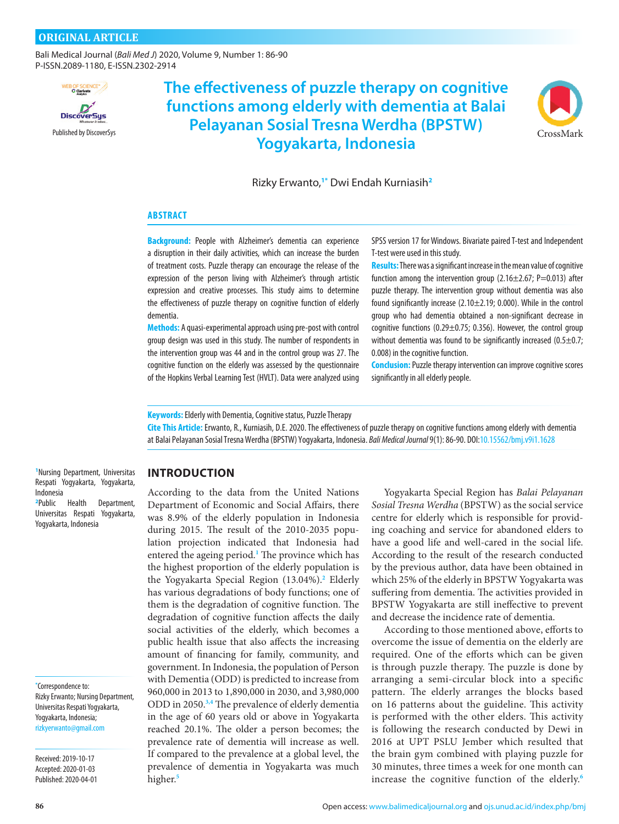[Bali Medical Journal](http://www.balimedicaljournal.org/) (*Bali Med J*) 2020, Volume 9, Number 1: 86-90 P-ISSN.2089-1180, E-ISSN.2302-2914



[Published by DiscoverSys](http://discoversys.ca/) [CrossMark](http://crossmark.crossref.org/dialog/?doi=10.15562/bmj.v9i1.1628&domain=pdf)CrossMark **The Communist Communist Communist Communist Communist Communist Communist Communist CrossMark The effectiveness of puzzle therapy on cognitive functions among elderly with dementia at Balai Pelayanan Sosial Tresna Werdha (BPSTW)** 



Rizky Erwanto,**1\*** Dwi Endah Kurniasih**<sup>2</sup>**

#### **ABSTRACT**

**Background:** People with Alzheimer's dementia can experience a disruption in their daily activities, which can increase the burden of treatment costs. Puzzle therapy can encourage the release of the expression of the person living with Alzheimer's through artistic expression and creative processes. This study aims to determine the effectiveness of puzzle therapy on cognitive function of elderly dementia.

**Methods:** A quasi-experimental approach using pre-post with control group design was used in this study. The number of respondents in the intervention group was 44 and in the control group was 27. The cognitive function on the elderly was assessed by the questionnaire of the Hopkins Verbal Learning Test (HVLT). Data were analyzed using

SPSS version 17 for Windows. Bivariate paired T-test and Independent T-test were used in this study.

**Results:** There was a significant increase in the mean value of cognitive function among the intervention group  $(2.16 \pm 2.67; P = 0.013)$  after puzzle therapy. The intervention group without dementia was also found significantly increase (2.10±2.19; 0.000). While in the control group who had dementia obtained a non-significant decrease in cognitive functions (0.29 $\pm$ 0.75; 0.356). However, the control group without dementia was found to be significantly increased (0.5 $\pm$ 0.7; 0.008) in the cognitive function.

**Conclusion:** Puzzle therapy intervention can improve cognitive scores significantly in all elderly people.

**Keywords:** Elderly with Dementia, Cognitive status, Puzzle Therapy

**Cite This Article:** Erwanto, R., Kurniasih, D.E. 2020. The effectiveness of puzzle therapy on cognitive functions among elderly with dementia at Balai Pelayanan Sosial Tresna Werdha (BPSTW) Yogyakarta, Indonesia. *Bali Medical Journal* 9(1): 86-90[. DOI:10.15562/bmj.v9i1.1628](https://dx.doi.org/10.15562/bmj.v9i1.1628)

**1** Nursing Department, Universitas Respati Yogyakarta, Yogyakarta, Indonesia

**2** Public Health Department, Universitas Respati Yogyakarta, Yogyakarta, Indonesia

**\*** Correspondence to: Rizky Erwanto; Nursing Department, Universitas Respati Yogyakarta, Yogyakarta, Indonesia; [rizkyerwanto@gmail.com](mailto:rizkyerwanto@gmail.com)

Received: 2019-10-17 Accepted: 2020-01-03 Published: 2020-04-01

# **INTRODUCTION**

According to the data from the United Nations Department of Economic and Social Affairs, there was 8.9% of the elderly population in Indonesia during 2015. The result of the 2010-2035 population projection indicated that Indonesia had entered the ageing period.**[1](#page-4-0)** The province which has the highest proportion of the elderly population is the Yogyakarta Special Region (13.04%).**[2](#page-4-0)** Elderly has various degradations of body functions; one of them is the degradation of cognitive function. The degradation of cognitive function affects the daily social activities of the elderly, which becomes a public health issue that also affects the increasing amount of financing for family, community, and government. In Indonesia, the population of Person with Dementia (ODD) is predicted to increase from 960,000 in 2013 to 1,890,000 in 2030, and 3,980,000 ODD in 2050.**[3,4](#page-4-0)** The prevalence of elderly dementia in the age of 60 years old or above in Yogyakarta reached 20.1%. The older a person becomes; the prevalence rate of dementia will increase as well. If compared to the prevalence at a global level, the prevalence of dementia in Yogyakarta was much higher.**[5](#page-4-0)**

Yogyakarta Special Region has *Balai Pelayanan Sosial Tresna Werdha* (BPSTW) as the social service centre for elderly which is responsible for providing coaching and service for abandoned elders to have a good life and well-cared in the social life. According to the result of the research conducted by the previous author, data have been obtained in which 25% of the elderly in BPSTW Yogyakarta was suffering from dementia. The activities provided in BPSTW Yogyakarta are still ineffective to prevent and decrease the incidence rate of dementia.

According to those mentioned above, efforts to overcome the issue of dementia on the elderly are required. One of the efforts which can be given is through puzzle therapy. The puzzle is done by arranging a semi-circular block into a specific pattern. The elderly arranges the blocks based on 16 patterns about the guideline. This activity is performed with the other elders. This activity is following the research conducted by Dewi in 2016 at UPT PSLU Jember which resulted that the brain gym combined with playing puzzle for 30 minutes, three times a week for one month can increase the cognitive function of the elderly.**[6](#page-4-0)**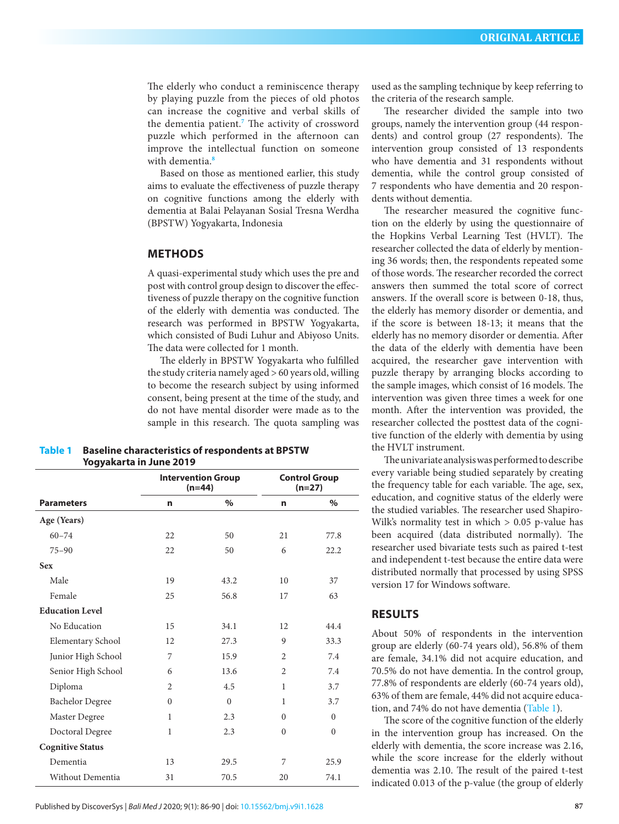The elderly who conduct a reminiscence therapy by playing puzzle from the pieces of old photos can increase the cognitive and verbal skills of the dementia patient.**[7](#page-4-0)** The activity of crossword puzzle which performed in the afternoon can improve the intellectual function on someone with dementia.**[8](#page-4-0)**

Based on those as mentioned earlier, this study aims to evaluate the effectiveness of puzzle therapy on cognitive functions among the elderly with dementia at Balai Pelayanan Sosial Tresna Werdha (BPSTW) Yogyakarta, Indonesia

## **METHODS**

A quasi-experimental study which uses the pre and post with control group design to discover the effectiveness of puzzle therapy on the cognitive function of the elderly with dementia was conducted. The research was performed in BPSTW Yogyakarta, which consisted of Budi Luhur and Abiyoso Units. The data were collected for 1 month.

The elderly in BPSTW Yogyakarta who fulfilled the study criteria namely aged > 60 years old, willing to become the research subject by using informed consent, being present at the time of the study, and do not have mental disorder were made as to the sample in this research. The quota sampling was

#### **Table 1 Baseline characteristics of respondents at BPSTW Yogyakarta in June 2019**

**Parameters Intervention Group (n=44) Control Group (n=27) n % n % Age (Years)** 60–74 22 50 21 77.8 75–90 22 50 6 22.2 **Sex** Male 19 43.2 10 37 Female 25 56.8 17 63 **Education Level** No Education 15 34.1 12 44.4 Elementary School 12 27.3 9 33.3 Junior High School 7 15.9 2 7.4 Senior High School 6 13.6 2 7.4 Diploma 2 4.5 1 3.7 Bachelor Degree 0 0 0 1 3.7 Master Degree 1 2.3 0 0 Doctoral Degree 1 2.3 0 0 **Cognitive Status** Dementia 13 29.5 7 25.9 Without Dementia  $31$  70.5 20 74.1

used as the sampling technique by keep referring to the criteria of the research sample.

The researcher divided the sample into two groups, namely the intervention group (44 respondents) and control group (27 respondents). The intervention group consisted of 13 respondents who have dementia and 31 respondents without dementia, while the control group consisted of 7 respondents who have dementia and 20 respondents without dementia.

The researcher measured the cognitive function on the elderly by using the questionnaire of the Hopkins Verbal Learning Test (HVLT). The researcher collected the data of elderly by mentioning 36 words; then, the respondents repeated some of those words. The researcher recorded the correct answers then summed the total score of correct answers. If the overall score is between 0-18, thus, the elderly has memory disorder or dementia, and if the score is between 18-13; it means that the elderly has no memory disorder or dementia. After the data of the elderly with dementia have been acquired, the researcher gave intervention with puzzle therapy by arranging blocks according to the sample images, which consist of 16 models. The intervention was given three times a week for one month. After the intervention was provided, the researcher collected the posttest data of the cognitive function of the elderly with dementia by using the HVLT instrument.

The univariate analysis was performed to describe every variable being studied separately by creating the frequency table for each variable. The age, sex, education, and cognitive status of the elderly were the studied variables. The researcher used Shapiro-Wilk's normality test in which  $> 0.05$  p-value has been acquired (data distributed normally). The researcher used bivariate tests such as paired t-test and independent t-test because the entire data were distributed normally that processed by using SPSS version 17 for Windows software.

# **RESULTS**

About 50% of respondents in the intervention group are elderly (60-74 years old), 56.8% of them are female, 34.1% did not acquire education, and 70.5% do not have dementia. In the control group, 77.8% of respondents are elderly (60-74 years old), 63% of them are female, 44% did not acquire education, and 74% do not have dementia (Table 1).

The score of the cognitive function of the elderly in the intervention group has increased. On the elderly with dementia, the score increase was 2.16, while the score increase for the elderly without dementia was 2.10. The result of the paired t-test indicated 0.013 of the p-value (the group of elderly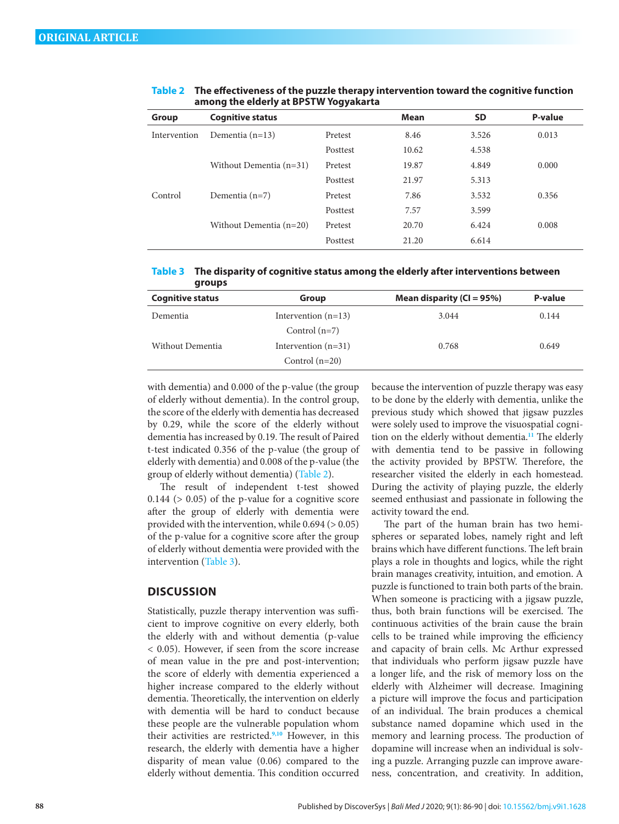| <b>Cognitive status</b>   |          | <b>Mean</b> | <b>SD</b> | P-value |
|---------------------------|----------|-------------|-----------|---------|
| Dementia $(n=13)$         | Pretest  | 8.46        | 3.526     | 0.013   |
|                           | Posttest | 10.62       | 4.538     |         |
| Without Dementia (n=31)   | Pretest  | 19.87       | 4.849     | 0.000   |
|                           | Posttest | 21.97       | 5.313     |         |
| Dementia $(n=7)$          | Pretest  | 7.86        | 3.532     | 0.356   |
|                           | Posttest | 7.57        | 3.599     |         |
| Without Dementia $(n=20)$ | Pretest  | 20.70       | 6.424     | 0.008   |
|                           | Posttest | 21.20       | 6.614     |         |
|                           |          |             |           |         |

#### **Table 2 The effectiveness of the puzzle therapy intervention toward the cognitive function among the elderly at BPSTW Yogyakarta**

| Table 3 The disparity of cognitive status among the elderly after interventions between |
|-----------------------------------------------------------------------------------------|
| groups                                                                                  |

| <b>Cognitive status</b> | Group                 | Mean disparity ( $CI = 95\%$ ) | P-value |
|-------------------------|-----------------------|--------------------------------|---------|
| Dementia                | Intervention $(n=13)$ | 3.044                          | 0.144   |
|                         | Control $(n=7)$       |                                |         |
| Without Dementia        | Intervention $(n=31)$ | 0.768                          | 0.649   |
|                         | Control $(n=20)$      |                                |         |

with dementia) and 0.000 of the p-value (the group of elderly without dementia). In the control group, the score of the elderly with dementia has decreased by 0.29, while the score of the elderly without dementia has increased by 0.19. The result of Paired t-test indicated 0.356 of the p-value (the group of elderly with dementia) and 0.008 of the p-value (the group of elderly without dementia) (Table 2).

The result of independent t-test showed  $0.144$  ( $> 0.05$ ) of the p-value for a cognitive score after the group of elderly with dementia were provided with the intervention, while 0.694 (> 0.05) of the p-value for a cognitive score after the group of elderly without dementia were provided with the intervention (Table 3).

## **DISCUSSION**

Statistically, puzzle therapy intervention was sufficient to improve cognitive on every elderly, both the elderly with and without dementia (p-value < 0.05). However, if seen from the score increase of mean value in the pre and post-intervention; the score of elderly with dementia experienced a higher increase compared to the elderly without dementia. Theoretically, the intervention on elderly with dementia will be hard to conduct because these people are the vulnerable population whom their activities are restricted.**[9,10](#page-4-0)** However, in this research, the elderly with dementia have a higher disparity of mean value (0.06) compared to the elderly without dementia. This condition occurred

because the intervention of puzzle therapy was easy to be done by the elderly with dementia, unlike the previous study which showed that jigsaw puzzles were solely used to improve the visuospatial cognition on the elderly without dementia.**[11](#page-4-0)** The elderly with dementia tend to be passive in following the activity provided by BPSTW. Therefore, the researcher visited the elderly in each homestead. During the activity of playing puzzle, the elderly seemed enthusiast and passionate in following the activity toward the end.

The part of the human brain has two hemispheres or separated lobes, namely right and left brains which have different functions. The left brain plays a role in thoughts and logics, while the right brain manages creativity, intuition, and emotion. A puzzle is functioned to train both parts of the brain. When someone is practicing with a jigsaw puzzle, thus, both brain functions will be exercised. The continuous activities of the brain cause the brain cells to be trained while improving the efficiency and capacity of brain cells. Mc Arthur expressed that individuals who perform jigsaw puzzle have a longer life, and the risk of memory loss on the elderly with Alzheimer will decrease. Imagining a picture will improve the focus and participation of an individual. The brain produces a chemical substance named dopamine which used in the memory and learning process. The production of dopamine will increase when an individual is solving a puzzle. Arranging puzzle can improve awareness, concentration, and creativity. In addition,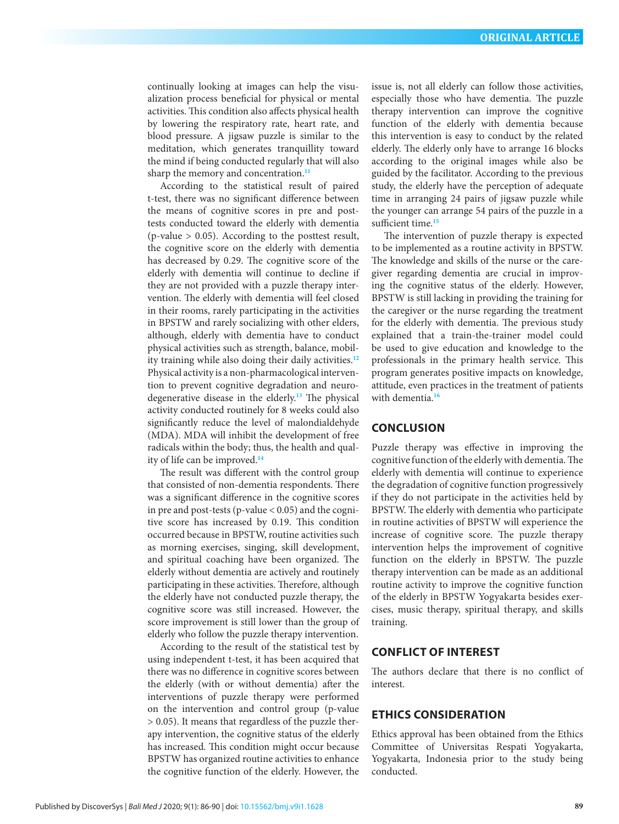continually looking at images can help the visualization process beneficial for physical or mental activities. This condition also affects physical health by lowering the respiratory rate, heart rate, and blood pressure. A jigsaw puzzle is similar to the meditation, which generates tranquillity toward the mind if being conducted regularly that will also sharp the memory and concentration.**[11](#page-4-0)**

According to the statistical result of paired t-test, there was no significant difference between the means of cognitive scores in pre and posttests conducted toward the elderly with dementia  $(p$ -value  $> 0.05$ ). According to the posttest result, the cognitive score on the elderly with dementia has decreased by 0.29. The cognitive score of the elderly with dementia will continue to decline if they are not provided with a puzzle therapy intervention. The elderly with dementia will feel closed in their rooms, rarely participating in the activities in BPSTW and rarely socializing with other elders, although, elderly with dementia have to conduct physical activities such as strength, balance, mobility training while also doing their daily activities.**[12](#page-4-0)** Physical activity is a non-pharmacological intervention to prevent cognitive degradation and neurodegenerative disease in the elderly.**[13](#page-4-0)** The physical activity conducted routinely for 8 weeks could also significantly reduce the level of malondialdehyde (MDA). MDA will inhibit the development of free radicals within the body; thus, the health and quality of life can be improved.**[14](#page-4-0)**

The result was different with the control group that consisted of non-dementia respondents. There was a significant difference in the cognitive scores in pre and post-tests (p-value  $< 0.05$ ) and the cognitive score has increased by 0.19. This condition occurred because in BPSTW, routine activities such as morning exercises, singing, skill development, and spiritual coaching have been organized. The elderly without dementia are actively and routinely participating in these activities. Therefore, although the elderly have not conducted puzzle therapy, the cognitive score was still increased. However, the score improvement is still lower than the group of elderly who follow the puzzle therapy intervention.

According to the result of the statistical test by using independent t-test, it has been acquired that there was no difference in cognitive scores between the elderly (with or without dementia) after the interventions of puzzle therapy were performed on the intervention and control group (p-value > 0.05). It means that regardless of the puzzle therapy intervention, the cognitive status of the elderly has increased. This condition might occur because BPSTW has organized routine activities to enhance the cognitive function of the elderly. However, the

issue is, not all elderly can follow those activities, especially those who have dementia. The puzzle therapy intervention can improve the cognitive function of the elderly with dementia because this intervention is easy to conduct by the related elderly. The elderly only have to arrange 16 blocks according to the original images while also be guided by the facilitator. According to the previous study, the elderly have the perception of adequate time in arranging 24 pairs of jigsaw puzzle while the younger can arrange 54 pairs of the puzzle in a sufficient time.**[15](#page-4-0)**

The intervention of puzzle therapy is expected to be implemented as a routine activity in BPSTW. The knowledge and skills of the nurse or the caregiver regarding dementia are crucial in improving the cognitive status of the elderly. However, BPSTW is still lacking in providing the training for the caregiver or the nurse regarding the treatment for the elderly with dementia. The previous study explained that a train-the-trainer model could be used to give education and knowledge to the professionals in the primary health service. This program generates positive impacts on knowledge, attitude, even practices in the treatment of patients with dementia.**[16](#page-4-0)**

# **CONCLUSION**

Puzzle therapy was effective in improving the cognitive function of the elderly with dementia. The elderly with dementia will continue to experience the degradation of cognitive function progressively if they do not participate in the activities held by BPSTW. The elderly with dementia who participate in routine activities of BPSTW will experience the increase of cognitive score. The puzzle therapy intervention helps the improvement of cognitive function on the elderly in BPSTW. The puzzle therapy intervention can be made as an additional routine activity to improve the cognitive function of the elderly in BPSTW Yogyakarta besides exercises, music therapy, spiritual therapy, and skills training.

# **CONFLICT OF INTEREST**

The authors declare that there is no conflict of interest.

#### **ETHICS CONSIDERATION**

Ethics approval has been obtained from the Ethics Committee of Universitas Respati Yogyakarta, Yogyakarta, Indonesia prior to the study being conducted.